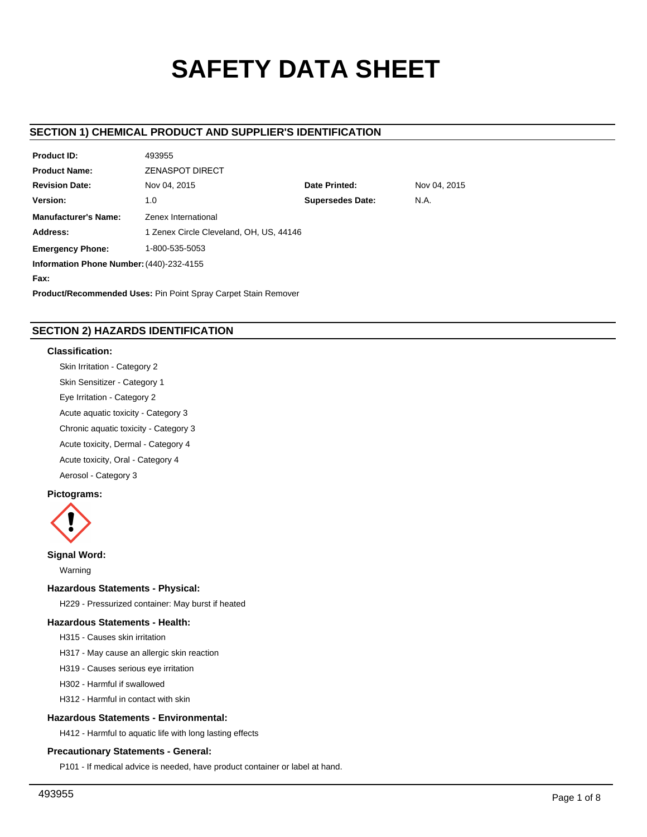# **SAFETY DATA SHEET**

# **SECTION 1) CHEMICAL PRODUCT AND SUPPLIER'S IDENTIFICATION**

| <b>Product ID:</b>                                                    | 493955                                  |                      |              |  |  |  |
|-----------------------------------------------------------------------|-----------------------------------------|----------------------|--------------|--|--|--|
| <b>Product Name:</b>                                                  | <b>ZENASPOT DIRECT</b>                  |                      |              |  |  |  |
| <b>Revision Date:</b>                                                 | Nov 04, 2015                            | <b>Date Printed:</b> | Nov 04, 2015 |  |  |  |
| Version:                                                              | <b>Supersedes Date:</b><br>N.A.<br>1.0  |                      |              |  |  |  |
| <b>Manufacturer's Name:</b>                                           | Zenex International                     |                      |              |  |  |  |
| Address:                                                              | 1 Zenex Circle Cleveland, OH, US, 44146 |                      |              |  |  |  |
| <b>Emergency Phone:</b>                                               | 1-800-535-5053                          |                      |              |  |  |  |
| Information Phone Number: (440)-232-4155                              |                                         |                      |              |  |  |  |
| Fax:                                                                  |                                         |                      |              |  |  |  |
| <b>Product/Recommended Uses: Pin Point Spray Carpet Stain Remover</b> |                                         |                      |              |  |  |  |

# **SECTION 2) HAZARDS IDENTIFICATION**

# **Classification:**

Skin Irritation - Category 2

Skin Sensitizer - Category 1

Eye Irritation - Category 2

Acute aquatic toxicity - Category 3

Chronic aquatic toxicity - Category 3

Acute toxicity, Dermal - Category 4

Acute toxicity, Oral - Category 4

Aerosol - Category 3

# **Pictograms:**



**Signal Word:**

Warning

## **Hazardous Statements - Physical:**

H229 - Pressurized container: May burst if heated

# **Hazardous Statements - Health:**

H315 - Causes skin irritation

H317 - May cause an allergic skin reaction

H319 - Causes serious eye irritation

H302 - Harmful if swallowed

H312 - Harmful in contact with skin

# **Hazardous Statements - Environmental:**

H412 - Harmful to aquatic life with long lasting effects

## **Precautionary Statements - General:**

P101 - If medical advice is needed, have product container or label at hand.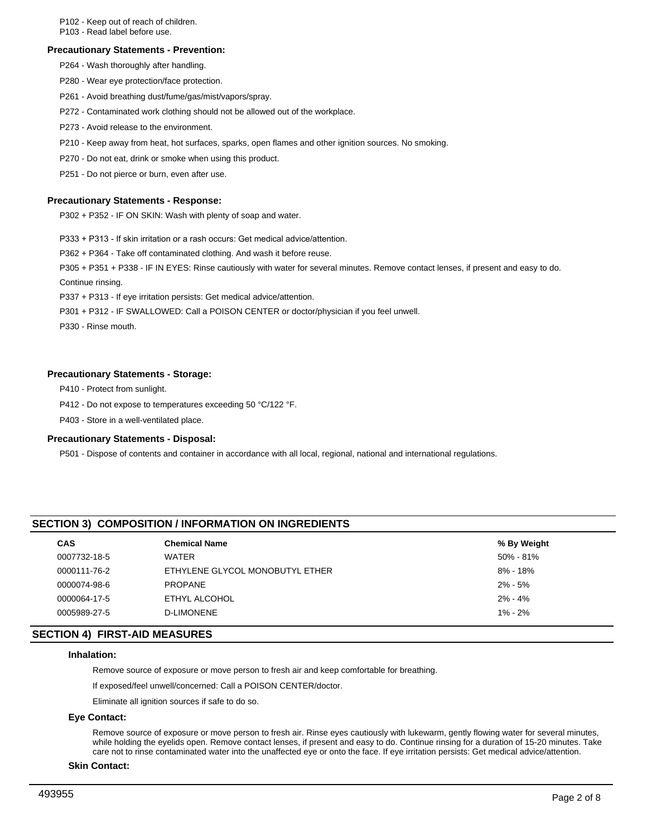P102 - Keep out of reach of children.

P103 - Read label before use.

#### **Precautionary Statements - Prevention:**

P264 - Wash thoroughly after handling.

- P280 Wear eye protection/face protection.
- P261 Avoid breathing dust/fume/gas/mist/vapors/spray.
- P272 Contaminated work clothing should not be allowed out of the workplace.
- P273 Avoid release to the environment.
- P210 Keep away from heat, hot surfaces, sparks, open flames and other ignition sources. No smoking.
- P270 Do not eat, drink or smoke when using this product.

P251 - Do not pierce or burn, even after use.

#### **Precautionary Statements - Response:**

P302 + P352 - IF ON SKIN: Wash with plenty of soap and water.

P333 + P313 - If skin irritation or a rash occurs: Get medical advice/attention.

P362 + P364 - Take off contaminated clothing. And wash it before reuse.

P305 + P351 + P338 - IF IN EYES: Rinse cautiously with water for several minutes. Remove contact lenses, if present and easy to do. Continue rinsing.

P337 + P313 - If eye irritation persists: Get medical advice/attention.

P301 + P312 - IF SWALLOWED: Call a POISON CENTER or doctor/physician if you feel unwell.

P330 - Rinse mouth.

## **Precautionary Statements - Storage:**

P410 - Protect from sunlight.

P412 - Do not expose to temperatures exceeding 50 °C/122 °F.

P403 - Store in a well-ventilated place.

#### **Precautionary Statements - Disposal:**

P501 - Dispose of contents and container in accordance with all local, regional, national and international regulations.

# **SECTION 3) COMPOSITION / INFORMATION ON INGREDIENTS**

| <b>CAS</b>   | <b>Chemical Name</b>            | % By Weight |
|--------------|---------------------------------|-------------|
| 0007732-18-5 | WATER                           | 50% - 81%   |
| 0000111-76-2 | ETHYLENE GLYCOL MONOBUTYL ETHER | 8% - 18%    |
| 0000074-98-6 | <b>PROPANE</b>                  | 2% - 5%     |
| 0000064-17-5 | ETHYL ALCOHOL                   | $2\% - 4\%$ |
| 0005989-27-5 | D-LIMONENE                      | $1\% - 2\%$ |
|              |                                 |             |

# **SECTION 4) FIRST-AID MEASURES**

#### **Inhalation:**

Remove source of exposure or move person to fresh air and keep comfortable for breathing.

If exposed/feel unwell/concerned: Call a POISON CENTER/doctor.

Eliminate all ignition sources if safe to do so.

## **Eye Contact:**

Remove source of exposure or move person to fresh air. Rinse eyes cautiously with lukewarm, gently flowing water for several minutes, while holding the eyelids open. Remove contact lenses, if present and easy to do. Continue rinsing for a duration of 15-20 minutes. Take care not to rinse contaminated water into the unaffected eye or onto the face. If eye irritation persists: Get medical advice/attention.

**Skin Contact:**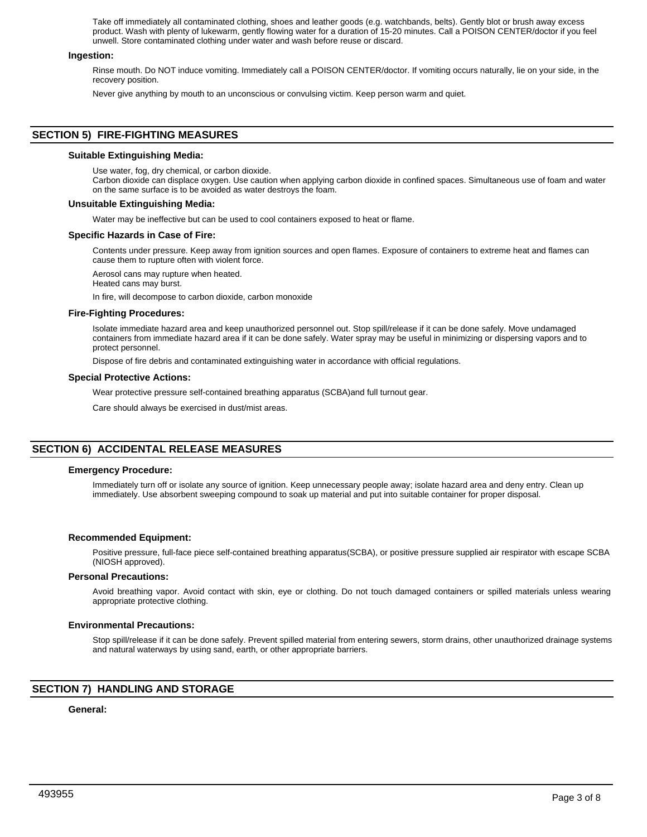Take off immediately all contaminated clothing, shoes and leather goods (e.g. watchbands, belts). Gently blot or brush away excess product. Wash with plenty of lukewarm, gently flowing water for a duration of 15-20 minutes. Call a POISON CENTER/doctor if you feel unwell. Store contaminated clothing under water and wash before reuse or discard.

#### **Ingestion:**

Rinse mouth. Do NOT induce vomiting. Immediately call a POISON CENTER/doctor. If vomiting occurs naturally, lie on your side, in the recovery position.

Never give anything by mouth to an unconscious or convulsing victim. Keep person warm and quiet.

# **SECTION 5) FIRE-FIGHTING MEASURES**

#### **Suitable Extinguishing Media:**

Use water, fog, dry chemical, or carbon dioxide.

Carbon dioxide can displace oxygen. Use caution when applying carbon dioxide in confined spaces. Simultaneous use of foam and water on the same surface is to be avoided as water destroys the foam.

#### **Unsuitable Extinguishing Media:**

Water may be ineffective but can be used to cool containers exposed to heat or flame.

#### **Specific Hazards in Case of Fire:**

Contents under pressure. Keep away from ignition sources and open flames. Exposure of containers to extreme heat and flames can cause them to rupture often with violent force.

Aerosol cans may rupture when heated. Heated cans may burst.

In fire, will decompose to carbon dioxide, carbon monoxide

#### **Fire-Fighting Procedures:**

Isolate immediate hazard area and keep unauthorized personnel out. Stop spill/release if it can be done safely. Move undamaged containers from immediate hazard area if it can be done safely. Water spray may be useful in minimizing or dispersing vapors and to protect personnel.

Dispose of fire debris and contaminated extinguishing water in accordance with official regulations.

#### **Special Protective Actions:**

Wear protective pressure self-contained breathing apparatus (SCBA)and full turnout gear.

Care should always be exercised in dust/mist areas.

# **SECTION 6) ACCIDENTAL RELEASE MEASURES**

## **Emergency Procedure:**

Immediately turn off or isolate any source of ignition. Keep unnecessary people away; isolate hazard area and deny entry. Clean up immediately. Use absorbent sweeping compound to soak up material and put into suitable container for proper disposal.

## **Recommended Equipment:**

Positive pressure, full-face piece self-contained breathing apparatus(SCBA), or positive pressure supplied air respirator with escape SCBA (NIOSH approved).

#### **Personal Precautions:**

Avoid breathing vapor. Avoid contact with skin, eye or clothing. Do not touch damaged containers or spilled materials unless wearing appropriate protective clothing.

## **Environmental Precautions:**

Stop spill/release if it can be done safely. Prevent spilled material from entering sewers, storm drains, other unauthorized drainage systems and natural waterways by using sand, earth, or other appropriate barriers.

# **SECTION 7) HANDLING AND STORAGE**

## **General:**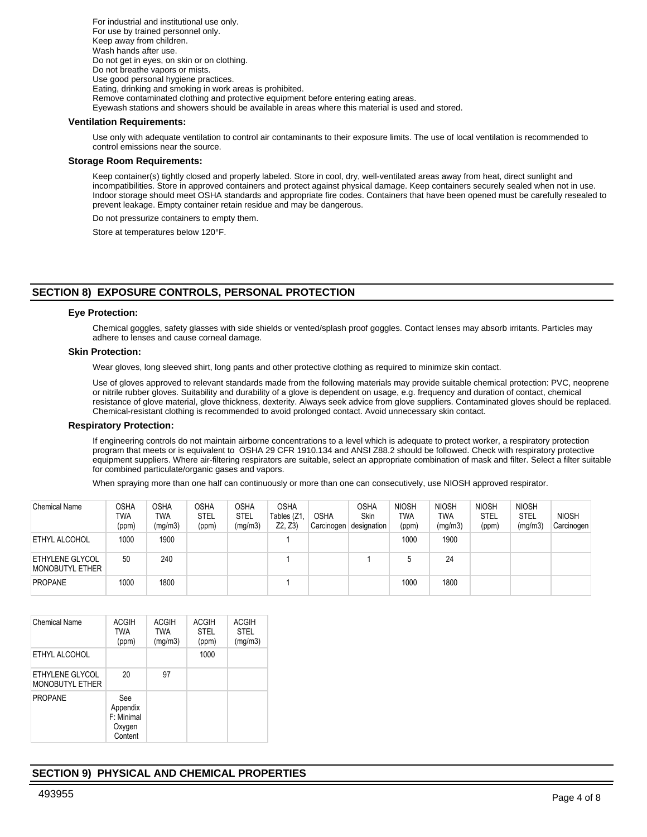For industrial and institutional use only. For use by trained personnel only. Keep away from children. Wash hands after use. Do not get in eyes, on skin or on clothing. Do not breathe vapors or mists. Use good personal hygiene practices. Eating, drinking and smoking in work areas is prohibited. Remove contaminated clothing and protective equipment before entering eating areas. Eyewash stations and showers should be available in areas where this material is used and stored.

#### **Ventilation Requirements:**

Use only with adequate ventilation to control air contaminants to their exposure limits. The use of local ventilation is recommended to control emissions near the source.

#### **Storage Room Requirements:**

Keep container(s) tightly closed and properly labeled. Store in cool, dry, well-ventilated areas away from heat, direct sunlight and incompatibilities. Store in approved containers and protect against physical damage. Keep containers securely sealed when not in use. Indoor storage should meet OSHA standards and appropriate fire codes. Containers that have been opened must be carefully resealed to prevent leakage. Empty container retain residue and may be dangerous.

Do not pressurize containers to empty them.

Store at temperatures below 120°F.

# **SECTION 8) EXPOSURE CONTROLS, PERSONAL PROTECTION**

#### **Eye Protection:**

Chemical goggles, safety glasses with side shields or vented/splash proof goggles. Contact lenses may absorb irritants. Particles may adhere to lenses and cause corneal damage.

#### **Skin Protection:**

Wear gloves, long sleeved shirt, long pants and other protective clothing as required to minimize skin contact.

Use of gloves approved to relevant standards made from the following materials may provide suitable chemical protection: PVC, neoprene or nitrile rubber gloves. Suitability and durability of a glove is dependent on usage, e.g. frequency and duration of contact, chemical resistance of glove material, glove thickness, dexterity. Always seek advice from glove suppliers. Contaminated gloves should be replaced. Chemical-resistant clothing is recommended to avoid prolonged contact. Avoid unnecessary skin contact.

#### **Respiratory Protection:**

If engineering controls do not maintain airborne concentrations to a level which is adequate to protect worker, a respiratory protection program that meets or is equivalent to OSHA 29 CFR 1910.134 and ANSI Z88.2 should be followed. Check with respiratory protective equipment suppliers. Where air-filtering respirators are suitable, select an appropriate combination of mask and filter. Select a filter suitable for combined particulate/organic gases and vapors.

When spraying more than one half can continuously or more than one can consecutively, use NIOSH approved respirator.

| <b>Chemical Name</b>               | OSHA<br>TWA<br>(ppm) | <b>OSHA</b><br>TWA<br>(mg/m3) | <b>OSHA</b><br><b>STEL</b><br>(ppm) | OSHA<br><b>STEL</b><br>(mg/m3) | <b>OSHA</b><br>Tables (Z1<br>Z2, Z3 | <b>OSHA</b><br>Carcinogen | <b>OSHA</b><br>Skin<br>designation | <b>NIOSH</b><br>TWA<br>(ppm) | <b>NIOSH</b><br>TWA<br>(mg/m3) | <b>NIOSH</b><br><b>STEL</b><br>(ppm) | <b>NIOSH</b><br><b>STEL</b><br>(mg/m3) | <b>NIOSH</b><br>Carcinogen |
|------------------------------------|----------------------|-------------------------------|-------------------------------------|--------------------------------|-------------------------------------|---------------------------|------------------------------------|------------------------------|--------------------------------|--------------------------------------|----------------------------------------|----------------------------|
| <b>ETHYL ALCOHOL</b>               | 1000                 | 1900                          |                                     |                                |                                     |                           |                                    | 1000                         | 1900                           |                                      |                                        |                            |
| ETHYLENE GLYCOL<br>MONOBUTYL ETHER | 50                   | 240                           |                                     |                                |                                     |                           |                                    | 5                            | 24                             |                                      |                                        |                            |
| <b>PROPANE</b>                     | 1000                 | 1800                          |                                     |                                |                                     |                           |                                    | 1000                         | 1800                           |                                      |                                        |                            |

| Chemical Name                             | <b>ACGIH</b><br><b>TWA</b><br>(ppm)                | <b>ACGIH</b><br><b>TWA</b><br>(mg/m3) | <b>ACGIH</b><br><b>STEL</b><br>(ppm) | <b>ACGIH</b><br><b>STEL</b><br>(mg/m3) |
|-------------------------------------------|----------------------------------------------------|---------------------------------------|--------------------------------------|----------------------------------------|
| ETHYL ALCOHOL                             |                                                    |                                       | 1000                                 |                                        |
| ETHYLENE GLYCOL<br><b>MONOBUTYL ETHER</b> | 20                                                 | 97                                    |                                      |                                        |
| <b>PROPANE</b>                            | See<br>Appendix<br>F: Minimal<br>Oxygen<br>Content |                                       |                                      |                                        |

# **SECTION 9) PHYSICAL AND CHEMICAL PROPERTIES**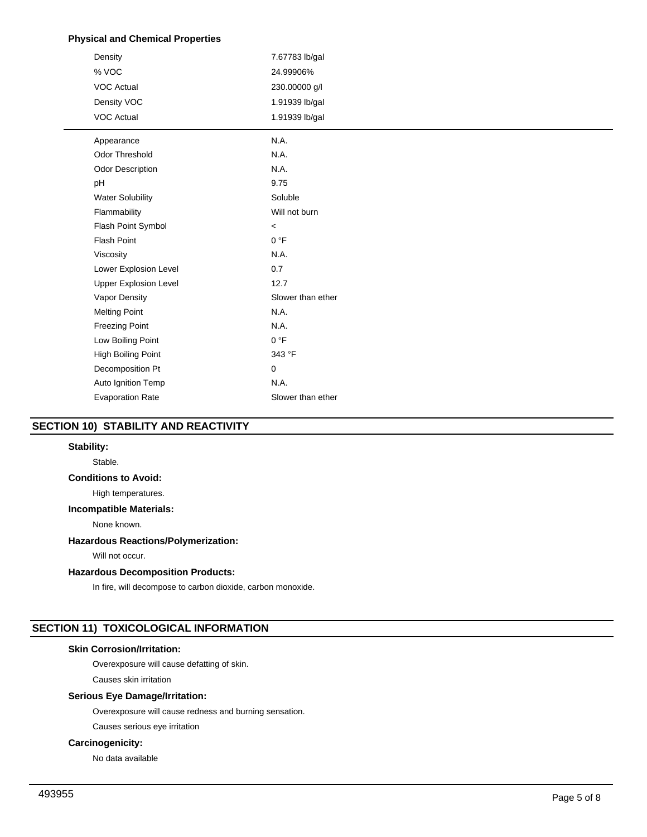# **Physical and Chemical Properties**

| Density                      | 7.67783 lb/gal    |
|------------------------------|-------------------|
| % VOC                        | 24.99906%         |
| <b>VOC Actual</b>            | 230.00000 g/l     |
| Density VOC                  | 1.91939 lb/gal    |
| <b>VOC Actual</b>            | 1.91939 lb/gal    |
| Appearance                   | N.A.              |
| Odor Threshold               | N.A.              |
| Odor Description             | N.A.              |
| pH                           | 9.75              |
| <b>Water Solubility</b>      | Soluble           |
| Flammability                 | Will not burn     |
| Flash Point Symbol           | $\,<\,$           |
| <b>Flash Point</b>           | 0 °F              |
| Viscosity                    | N.A.              |
| Lower Explosion Level        | 0.7               |
| <b>Upper Explosion Level</b> | 12.7              |
| Vapor Density                | Slower than ether |
| <b>Melting Point</b>         | N.A.              |
| <b>Freezing Point</b>        | N.A.              |
| Low Boiling Point            | 0 °F              |
| High Boiling Point           | 343 °F            |
| Decomposition Pt             | $\mathbf 0$       |
| Auto Ignition Temp           | N.A.              |
| <b>Evaporation Rate</b>      | Slower than ether |
|                              |                   |

# **SECTION 10) STABILITY AND REACTIVITY**

# **Stability:**

Stable.

# **Conditions to Avoid:**

High temperatures.

#### **Incompatible Materials:**

None known.

# **Hazardous Reactions/Polymerization:**

Will not occur.

## **Hazardous Decomposition Products:**

In fire, will decompose to carbon dioxide, carbon monoxide.

# **SECTION 11) TOXICOLOGICAL INFORMATION**

# **Skin Corrosion/Irritation:**

Overexposure will cause defatting of skin.

Causes skin irritation

# **Serious Eye Damage/Irritation:**

Overexposure will cause redness and burning sensation.

Causes serious eye irritation

# **Carcinogenicity:**

No data available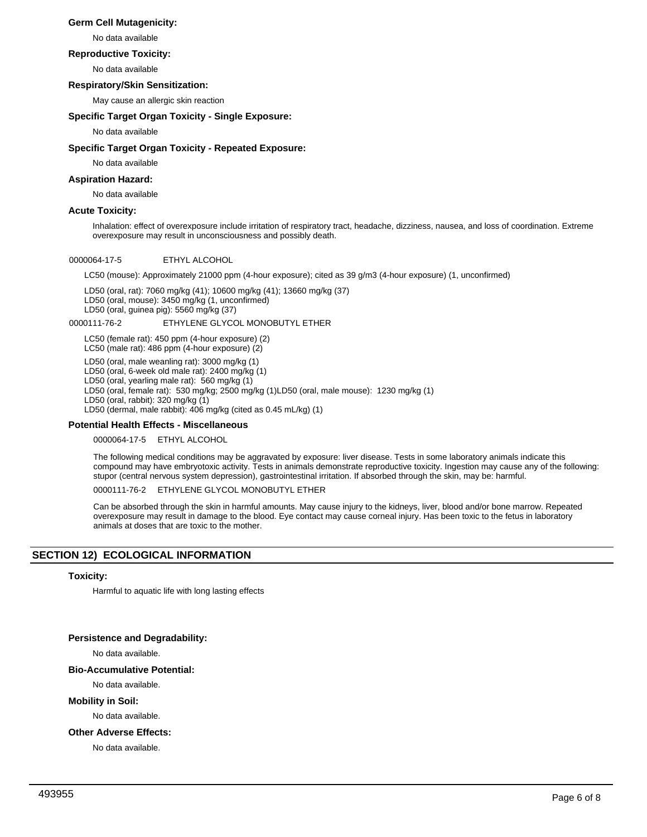# **Germ Cell Mutagenicity:**

No data available

#### **Reproductive Toxicity:**

No data available

## **Respiratory/Skin Sensitization:**

May cause an allergic skin reaction

## **Specific Target Organ Toxicity - Single Exposure:**

No data available

## **Specific Target Organ Toxicity - Repeated Exposure:**

No data available

## **Aspiration Hazard:**

No data available

## **Acute Toxicity:**

Inhalation: effect of overexposure include irritation of respiratory tract, headache, dizziness, nausea, and loss of coordination. Extreme overexposure may result in unconsciousness and possibly death.

## 0000064-17-5 ETHYL ALCOHOL

LC50 (mouse): Approximately 21000 ppm (4-hour exposure); cited as 39 g/m3 (4-hour exposure) (1, unconfirmed)

LD50 (oral, rat): 7060 mg/kg (41); 10600 mg/kg (41); 13660 mg/kg (37) LD50 (oral, mouse): 3450 mg/kg (1, unconfirmed) LD50 (oral, guinea pig): 5560 mg/kg (37)

#### 0000111-76-2 ETHYLENE GLYCOL MONOBUTYL ETHER

LC50 (female rat): 450 ppm (4-hour exposure) (2) LC50 (male rat): 486 ppm (4-hour exposure) (2)

LD50 (oral, male weanling rat): 3000 mg/kg (1)

LD50 (oral, 6-week old male rat): 2400 mg/kg (1)

LD50 (oral, yearling male rat): 560 mg/kg (1)

LD50 (oral, female rat): 530 mg/kg; 2500 mg/kg (1)LD50 (oral, male mouse): 1230 mg/kg (1)

LD50 (oral, rabbit): 320 mg/kg (1) LD50 (dermal, male rabbit): 406 mg/kg (cited as 0.45 mL/kg) (1)

## **Potential Health Effects - Miscellaneous**

0000064-17-5 ETHYL ALCOHOL

The following medical conditions may be aggravated by exposure: liver disease. Tests in some laboratory animals indicate this compound may have embryotoxic activity. Tests in animals demonstrate reproductive toxicity. Ingestion may cause any of the following: stupor (central nervous system depression), gastrointestinal irritation. If absorbed through the skin, may be: harmful.

0000111-76-2 ETHYLENE GLYCOL MONOBUTYL ETHER

Can be absorbed through the skin in harmful amounts. May cause injury to the kidneys, liver, blood and/or bone marrow. Repeated overexposure may result in damage to the blood. Eye contact may cause corneal injury. Has been toxic to the fetus in laboratory animals at doses that are toxic to the mother.

# **SECTION 12) ECOLOGICAL INFORMATION**

## **Toxicity:**

Harmful to aquatic life with long lasting effects

## **Persistence and Degradability:**

No data available.

## **Bio-Accumulative Potential:**

No data available.

## **Mobility in Soil:**

No data available.

## **Other Adverse Effects:**

No data available.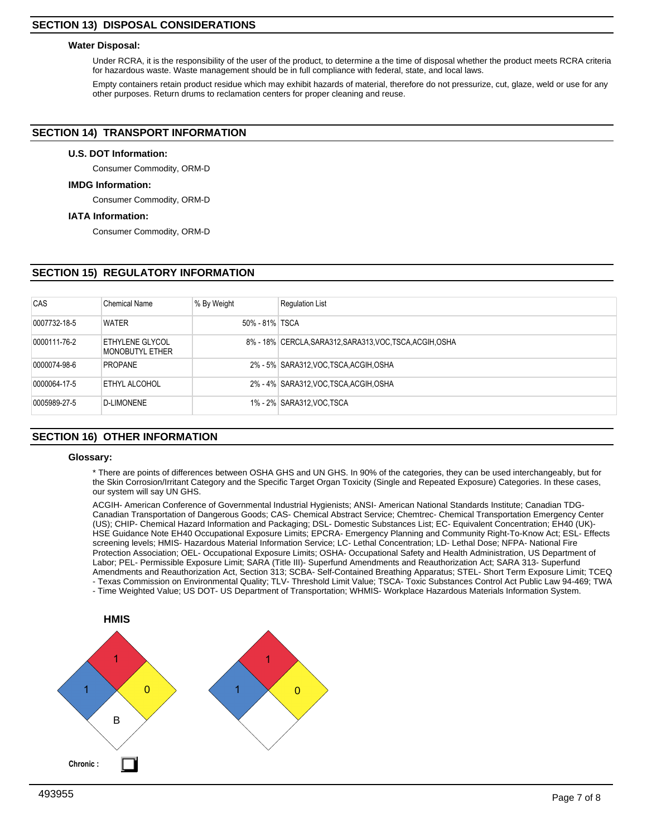# **SECTION 13) DISPOSAL CONSIDERATIONS**

#### **Water Disposal:**

Under RCRA, it is the responsibility of the user of the product, to determine a the time of disposal whether the product meets RCRA criteria for hazardous waste. Waste management should be in full compliance with federal, state, and local laws.

Empty containers retain product residue which may exhibit hazards of material, therefore do not pressurize, cut, glaze, weld or use for any other purposes. Return drums to reclamation centers for proper cleaning and reuse.

# **SECTION 14) TRANSPORT INFORMATION**

#### **U.S. DOT Information:**

Consumer Commodity, ORM-D

#### **IMDG Information:**

Consumer Commodity, ORM-D

#### **IATA Information:**

Consumer Commodity, ORM-D

# **SECTION 15) REGULATORY INFORMATION**

| CAS          | <b>Chemical Name</b>               | % By Weight    | <b>Regulation List</b>                                    |
|--------------|------------------------------------|----------------|-----------------------------------------------------------|
| 0007732-18-5 | <b>WATER</b>                       | 50% - 81% TSCA |                                                           |
| 0000111-76-2 | ETHYLENE GLYCOL<br>MONOBUTYL ETHER |                | 8% - 18% CERCLA, SARA312, SARA313, VOC, TSCA, ACGIH, OSHA |
| 0000074-98-6 | <b>PROPANE</b>                     |                | 2% - 5% SARA312, VOC, TSCA, ACGIH, OSHA                   |
| 0000064-17-5 | ETHYL ALCOHOL                      |                | 2% - 4% SARA312, VOC, TSCA, ACGIH, OSHA                   |
| 0005989-27-5 | D-LIMONENE                         |                | 1% - 2% SARA312, VOC TSCA                                 |

# **SECTION 16) OTHER INFORMATION**

#### **Glossary:**

\* There are points of differences between OSHA GHS and UN GHS. In 90% of the categories, they can be used interchangeably, but for the Skin Corrosion/Irritant Category and the Specific Target Organ Toxicity (Single and Repeated Exposure) Categories. In these cases, our system will say UN GHS.

ACGIH- American Conference of Governmental Industrial Hygienists; ANSI- American National Standards Institute; Canadian TDG-Canadian Transportation of Dangerous Goods; CAS- Chemical Abstract Service; Chemtrec- Chemical Transportation Emergency Center (US); CHIP- Chemical Hazard Information and Packaging; DSL- Domestic Substances List; EC- Equivalent Concentration; EH40 (UK)- HSE Guidance Note EH40 Occupational Exposure Limits; EPCRA- Emergency Planning and Community Right-To-Know Act; ESL- Effects screening levels; HMIS- Hazardous Material Information Service; LC- Lethal Concentration; LD- Lethal Dose; NFPA- National Fire Protection Association; OEL- Occupational Exposure Limits; OSHA- Occupational Safety and Health Administration, US Department of Labor; PEL- Permissible Exposure Limit; SARA (Title III)- Superfund Amendments and Reauthorization Act; SARA 313- Superfund Amendments and Reauthorization Act, Section 313; SCBA- Self-Contained Breathing Apparatus; STEL- Short Term Exposure Limit; TCEQ - Texas Commission on Environmental Quality; TLV- Threshold Limit Value; TSCA- Toxic Substances Control Act Public Law 94-469; TWA - Time Weighted Value; US DOT- US Department of Transportation; WHMIS- Workplace Hazardous Materials Information System.